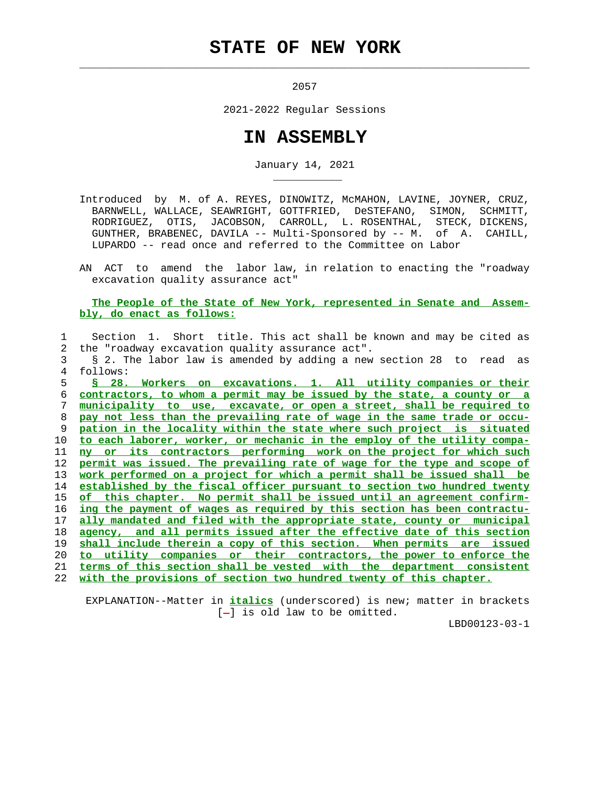## **STATE OF NEW YORK**

 $\mathcal{L}_\text{max} = \frac{1}{2} \sum_{i=1}^{n} \frac{1}{2} \sum_{i=1}^{n} \frac{1}{2} \sum_{i=1}^{n} \frac{1}{2} \sum_{i=1}^{n} \frac{1}{2} \sum_{i=1}^{n} \frac{1}{2} \sum_{i=1}^{n} \frac{1}{2} \sum_{i=1}^{n} \frac{1}{2} \sum_{i=1}^{n} \frac{1}{2} \sum_{i=1}^{n} \frac{1}{2} \sum_{i=1}^{n} \frac{1}{2} \sum_{i=1}^{n} \frac{1}{2} \sum_{i=1}^{n} \frac{1$ 

\_\_\_\_\_\_\_\_\_\_\_

2057

2021-2022 Regular Sessions

## **IN ASSEMBLY**

January 14, 2021

 Introduced by M. of A. REYES, DINOWITZ, McMAHON, LAVINE, JOYNER, CRUZ, BARNWELL, WALLACE, SEAWRIGHT, GOTTFRIED, DeSTEFANO, SIMON, SCHMITT, RODRIGUEZ, OTIS, JACOBSON, CARROLL, L. ROSENTHAL, STECK, DICKENS, GUNTHER, BRABENEC, DAVILA -- Multi-Sponsored by -- M. of A. CAHILL, LUPARDO -- read once and referred to the Committee on Labor

 AN ACT to amend the labor law, in relation to enacting the "roadway excavation quality assurance act"

 **The People of the State of New York, represented in Senate and Assem bly, do enact as follows:**

 1 Section 1. Short title. This act shall be known and may be cited as 2 the "roadway excavation quality assurance act". 3 § 2. The labor law is amended by adding a new section 28 to read as 4 follows: **§ 28. Workers on excavations. 1. All utility companies or their contractors, to whom a permit may be issued by the state, a county or a municipality to use, excavate, or open a street, shall be required to pay not less than the prevailing rate of wage in the same trade or occu- pation in the locality within the state where such project is situated to each laborer, worker, or mechanic in the employ of the utility compa- ny or its contractors performing work on the project for which such permit was issued. The prevailing rate of wage for the type and scope of work performed on a project for which a permit shall be issued shall be established by the fiscal officer pursuant to section two hundred twenty of this chapter. No permit shall be issued until an agreement confirm- ing the payment of wages as required by this section has been contractu- ally mandated and filed with the appropriate state, county or municipal agency, and all permits issued after the effective date of this section shall include therein a copy of this section. When permits are issued to utility companies or their contractors, the power to enforce the terms of this section shall be vested with the department consistent with the provisions of section two hundred twenty of this chapter.**

 EXPLANATION--Matter in **italics** (underscored) is new; matter in brackets  $[-]$  is old law to be omitted.

LBD00123-03-1